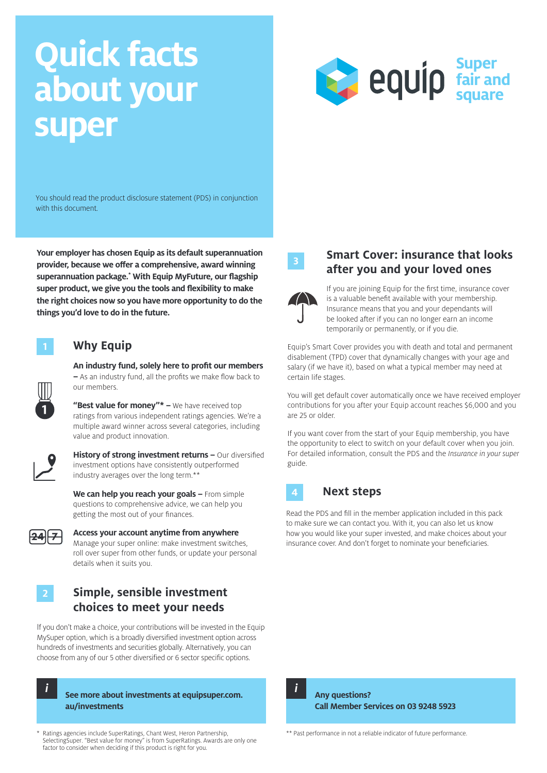# **Quick facts about your super**



You should read the product disclosure statement (PDS) in conjunction with this document.

**Your employer has chosen Equip as its default superannuation provider, because we offer a comprehensive, award winning superannuation package.\* With Equip MyFuture, our flagship super product, we give you the tools and flexibility to make the right choices now so you have more opportunity to do the things you'd love to do in the future.**

## **1 Why Equip**

**An industry fund, solely here to profit our members –** As an industry fund, all the profits we make flow back to our members.

"Best value for money"\* - We have received top ratings from various independent ratings agencies. We're a multiple award winner across several categories, including value and product innovation.



**History of strong investment returns –** Our diversified investment options have consistently outperformed industry averages over the long term.\*\*

**We can help you reach your goals –** From simple questions to comprehensive advice, we can help you getting the most out of your finances.



### **Access your account anytime from anywhere** Manage your super online: make investment switches,

roll over super from other funds, or update your personal details when it suits you.

## **2 Simple, sensible investment choices to meet your needs**

If you don't make a choice, your contributions will be invested in the Equip MySuper option, which is a broadly diversified investment option across hundreds of investments and securities globally. Alternatively, you can choose from any of our 5 other diversified or 6 sector specific options.



\* Ratings agencies include SuperRatings, Chant West, Heron Partnership, SelectingSuper. "Best value for money" is from SuperRatings. Awards are only one factor to consider when deciding if this product is right for you.



## **<sup>3</sup> Smart Cover: insurance that looks after you and your loved ones**



If you are joining Equip for the first time, insurance cover is a valuable benefit available with your membership. Insurance means that you and your dependants will be looked after if you can no longer earn an income temporarily or permanently, or if you die.

Equip's Smart Cover provides you with death and total and permanent disablement (TPD) cover that dynamically changes with your age and salary (if we have it), based on what a typical member may need at certain life stages.

You will get default cover automatically once we have received employer contributions for you after your Equip account reaches \$6,000 and you are 25 or older.

If you want cover from the start of your Equip membership, you have the opportunity to elect to switch on your default cover when you join. For detailed information, consult the PDS and the *Insurance in your super*  guide.

#### **Next steps 4**

Read the PDS and fill in the member application included in this pack to make sure we can contact you. With it, you can also let us know how you would like your super invested, and make choices about your insurance cover. And don't forget to nominate your beneficiaries.



\*\* Past performance in not a reliable indicator of future performance.